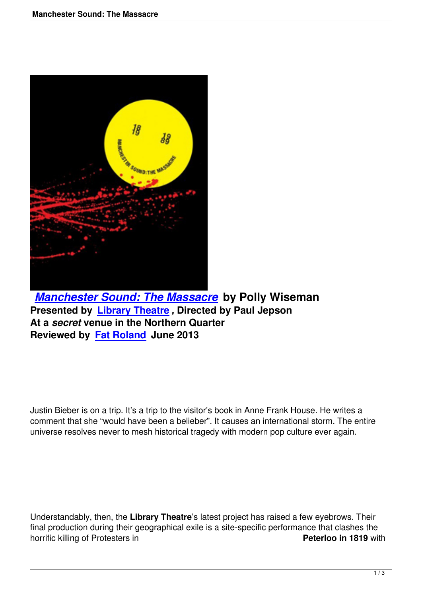

*Manchester Sound: The Massacre* **by Polly Wiseman Presented by Library Theatre** *,* **Directed by Paul Jepson At a** *secret* **venue in the Northern Quarter [Reviewed by Fat Roland June 2013](manchester-sound-the-massacre.html)**

Justin Bieber is on a trip. It's a trip to the visitor's book in Anne Frank House. He writes a comment that she "would have been a belieber". It causes an international storm. The entire universe resolves never to mesh historical tragedy with modern pop culture ever again.

Understandably, then, the **Library Theatre**'s latest project has raised a few eyebrows. Their final production during their geographical exile is a site-specific performance that clashes the horrific killing of Protesters in **Peterloo in 1819** with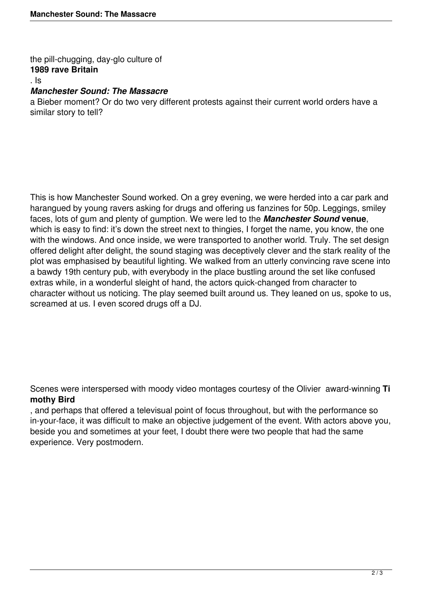the pill-chugging, day-glo culture of **1989 rave Britain**

. Is

## *Manchester Sound: The Massacre*

a Bieber moment? Or do two very different protests against their current world orders have a similar story to tell?

This is how Manchester Sound worked. On a grey evening, we were herded into a car park and harangued by young ravers asking for drugs and offering us fanzines for 50p. Leggings, smiley faces, lots of gum and plenty of gumption. We were led to the *Manchester Sound* **venue**, which is easy to find: it's down the street next to thingies, I forget the name, you know, the one with the windows. And once inside, we were transported to another world. Truly. The set design offered delight after delight, the sound staging was deceptively clever and the stark reality of the plot was emphasised by beautiful lighting. We walked from an utterly convincing rave scene into a bawdy 19th century pub, with everybody in the place bustling around the set like confused extras while, in a wonderful sleight of hand, the actors quick-changed from character to character without us noticing. The play seemed built around us. They leaned on us, spoke to us, screamed at us. I even scored drugs off a DJ.

Scenes were interspersed with moody video montages courtesy of the Olivier award-winning **Ti mothy Bird**

, and perhaps that offered a televisual point of focus throughout, but with the performance so in-your-face, it was difficult to make an objective judgement of the event. With actors above you, beside you and sometimes at your feet, I doubt there were two people that had the same experience. Very postmodern.